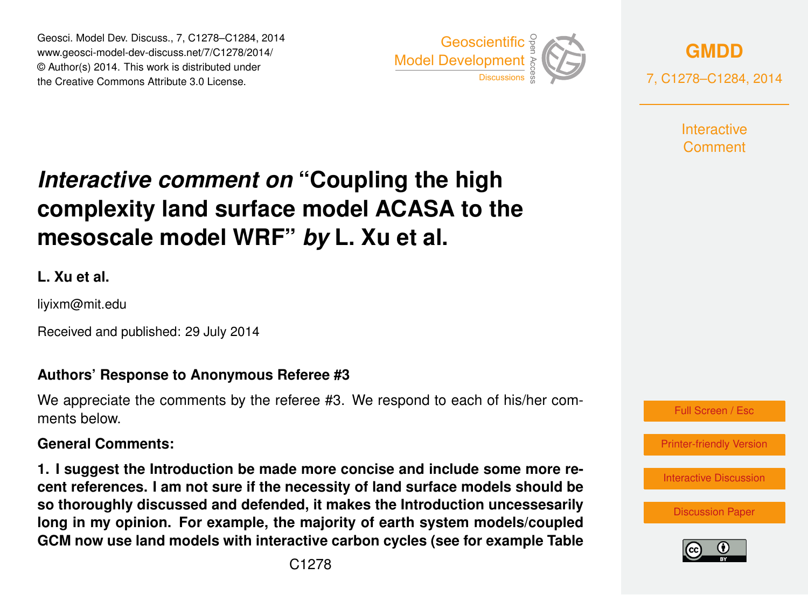Geosci. Model Dev. Discuss., 7, C1278–C1284, 2014 www.geosci-model-dev-discuss.net/7/C1278/2014/ © Author(s) 2014. This work is distributed under Geosci. Model Dev. Discuss., 7, C1278–C1284, 2014<br>www.geosci-model-dev-discuss.net/7/C1278/2014/<br>© Author(s) 2014. This work is distributed under<br>the Creative Commons Attribute 3.0 License.



**[GMDD](http://www.geosci-model-dev-discuss.net)** 7, C1278–C1284, 2014

> **Interactive** Comment

# *Interactive comment on* **"Coupling the high complexity land surface model ACASA to the mesoscale model WRF"** *by* **L. Xu et al.**

**L. Xu et al.**

liyixm@mit.edu

Received and published: 29 July 2014

#### **Authors' Response to Anonymous Referee #3**

We appreciate the comments by the referee #3. We respond to each of his/her comments below.

#### **General Comments:**

**1. I suggest the Introduction be made more concise and include some more recent references. I am not sure if the necessity of land surface models should be so thoroughly discussed and defended, it makes the Introduction uncessesarily long in my opinion. For example, the majority of earth system models/coupled GCM now use land models with interactive carbon cycles (see for example Table**



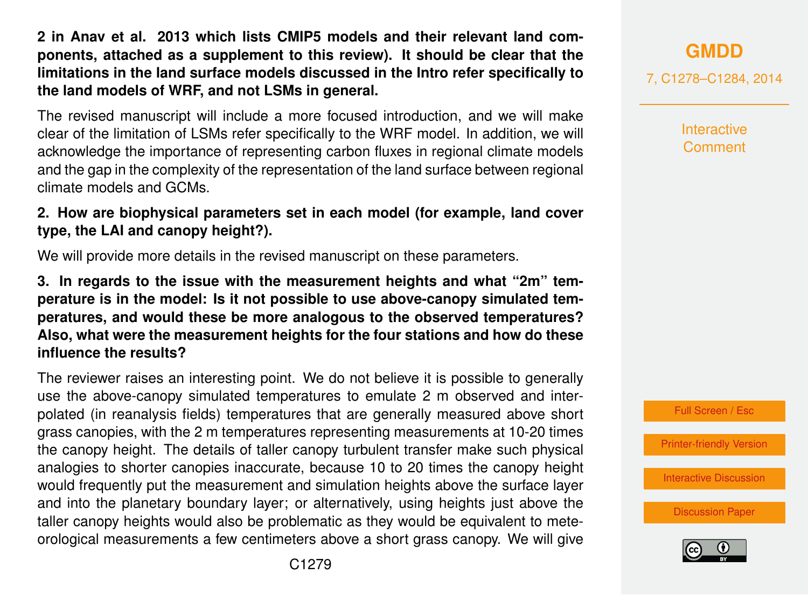**2 in Anav et al. 2013 which lists CMIP5 models and their relevant land components, attached as a supplement to this review). It should be clear that the limitations in the land surface models discussed in the Intro refer specifically to the land models of WRF, and not LSMs in general.**

The revised manuscript will include a more focused introduction, and we will make clear of the limitation of LSMs refer specifically to the WRF model. In addition, we will acknowledge the importance of representing carbon fluxes in regional climate models and the gap in the complexity of the representation of the land surface between regional climate models and GCMs.

**2. How are biophysical parameters set in each model (for example, land cover type, the LAI and canopy height?).**

We will provide more details in the revised manuscript on these parameters.

**3. In regards to the issue with the measurement heights and what "2m" temperature is in the model: Is it not possible to use above-canopy simulated temperatures, and would these be more analogous to the observed temperatures? Also, what were the measurement heights for the four stations and how do these influence the results?**

The reviewer raises an interesting point. We do not believe it is possible to generally use the above-canopy simulated temperatures to emulate 2 m observed and interpolated (in reanalysis fields) temperatures that are generally measured above short grass canopies, with the 2 m temperatures representing measurements at 10-20 times the canopy height. The details of taller canopy turbulent transfer make such physical analogies to shorter canopies inaccurate, because 10 to 20 times the canopy height would frequently put the measurement and simulation heights above the surface layer and into the planetary boundary layer; or alternatively, using heights just above the taller canopy heights would also be problematic as they would be equivalent to meteorological measurements a few centimeters above a short grass canopy. We will give **[GMDD](http://www.geosci-model-dev-discuss.net)**

7, C1278–C1284, 2014

**Interactive Comment** 



[Printer-friendly Version](http://www.geosci-model-dev-discuss.net/7/C1278/2014/gmdd-7-C1278-2014-print.pdf)

[Interactive Discussion](http://www.geosci-model-dev-discuss.net/7/2829/2014/gmdd-7-2829-2014-discussion.html)

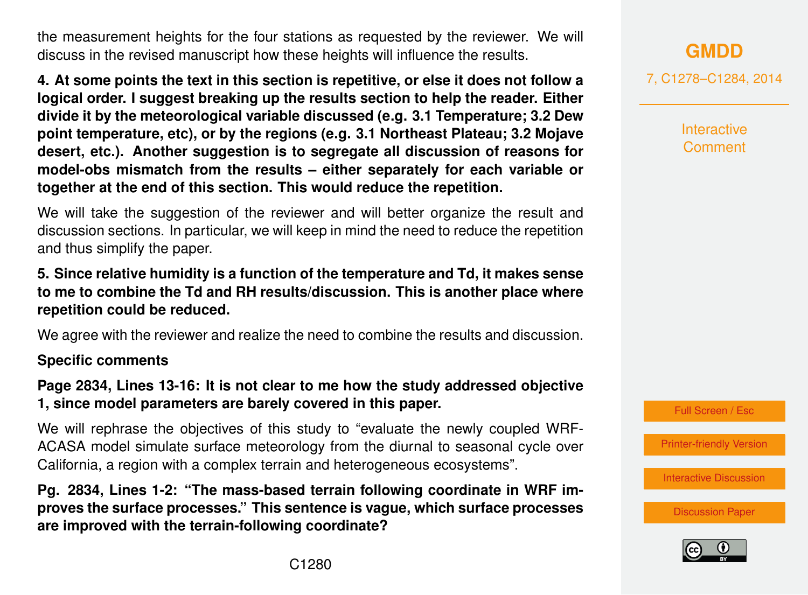the measurement heights for the four stations as requested by the reviewer. We will discuss in the revised manuscript how these heights will influence the results.

**4. At some points the text in this section is repetitive, or else it does not follow a logical order. I suggest breaking up the results section to help the reader. Either divide it by the meteorological variable discussed (e.g. 3.1 Temperature; 3.2 Dew point temperature, etc), or by the regions (e.g. 3.1 Northeast Plateau; 3.2 Mojave desert, etc.). Another suggestion is to segregate all discussion of reasons for model-obs mismatch from the results – either separately for each variable or together at the end of this section. This would reduce the repetition.**

We will take the suggestion of the reviewer and will better organize the result and discussion sections. In particular, we will keep in mind the need to reduce the repetition and thus simplify the paper.

#### **5. Since relative humidity is a function of the temperature and Td, it makes sense to me to combine the Td and RH results/discussion. This is another place where repetition could be reduced.**

We agree with the reviewer and realize the need to combine the results and discussion.

#### **Specific comments**

**Page 2834, Lines 13-16: It is not clear to me how the study addressed objective 1, since model parameters are barely covered in this paper.**

We will rephrase the objectives of this study to "evaluate the newly coupled WRF-ACASA model simulate surface meteorology from the diurnal to seasonal cycle over California, a region with a complex terrain and heterogeneous ecosystems".

**Pg. 2834, Lines 1-2: "The mass-based terrain following coordinate in WRF improves the surface processes." This sentence is vague, which surface processes are improved with the terrain-following coordinate?**

**[GMDD](http://www.geosci-model-dev-discuss.net)**

7, C1278–C1284, 2014

**Interactive Comment** 



[Printer-friendly Version](http://www.geosci-model-dev-discuss.net/7/C1278/2014/gmdd-7-C1278-2014-print.pdf)

[Interactive Discussion](http://www.geosci-model-dev-discuss.net/7/2829/2014/gmdd-7-2829-2014-discussion.html)

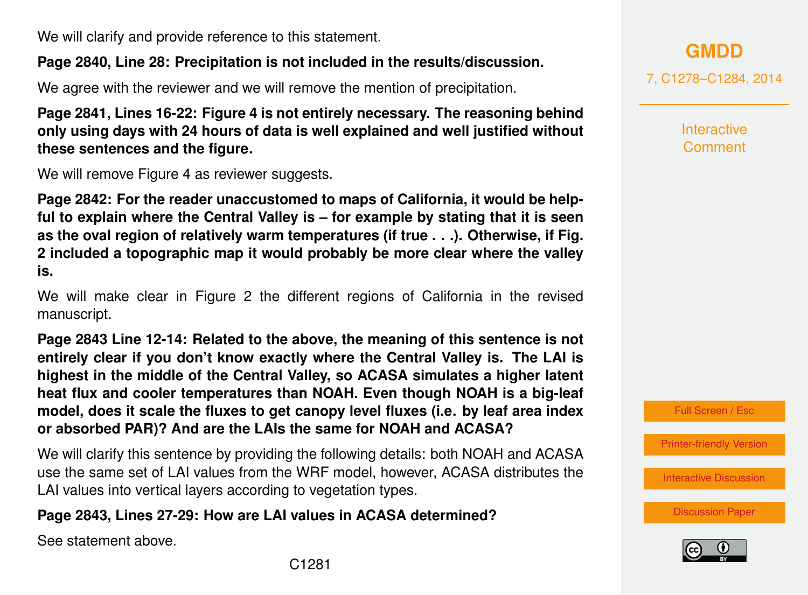We will clarify and provide reference to this statement.

# **Page 2840, Line 28: Precipitation is not included in the results/discussion.**

We agree with the reviewer and we will remove the mention of precipitation.

**Page 2841, Lines 16-22: Figure 4 is not entirely necessary. The reasoning behind only using days with 24 hours of data is well explained and well justified without these sentences and the figure.**

We will remove Figure 4 as reviewer suggests.

**Page 2842: For the reader unaccustomed to maps of California, it would be helpful to explain where the Central Valley is – for example by stating that it is seen as the oval region of relatively warm temperatures (if true . . .). Otherwise, if Fig. 2 included a topographic map it would probably be more clear where the valley is.**

We will make clear in Figure 2 the different regions of California in the revised manuscript.

**Page 2843 Line 12-14: Related to the above, the meaning of this sentence is not entirely clear if you don't know exactly where the Central Valley is. The LAI is highest in the middle of the Central Valley, so ACASA simulates a higher latent heat flux and cooler temperatures than NOAH. Even though NOAH is a big-leaf model, does it scale the fluxes to get canopy level fluxes (i.e. by leaf area index or absorbed PAR)? And are the LAIs the same for NOAH and ACASA?**

We will clarify this sentence by providing the following details: both NOAH and ACASA use the same set of LAI values from the WRF model, however, ACASA distributes the LAI values into vertical layers according to vegetation types.

# **Page 2843, Lines 27-29: How are LAI values in ACASA determined?**

See statement above.

**[GMDD](http://www.geosci-model-dev-discuss.net)**

7, C1278–C1284, 2014

**Interactive Comment** 

Full Screen / Esc

[Printer-friendly Version](http://www.geosci-model-dev-discuss.net/7/C1278/2014/gmdd-7-C1278-2014-print.pdf)

[Interactive Discussion](http://www.geosci-model-dev-discuss.net/7/2829/2014/gmdd-7-2829-2014-discussion.html)

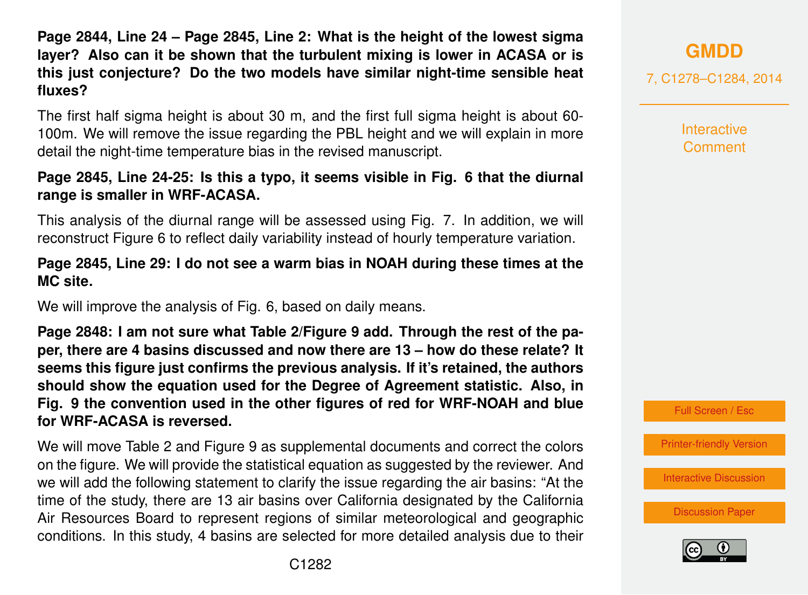**Page 2844, Line 24 – Page 2845, Line 2: What is the height of the lowest sigma layer? Also can it be shown that the turbulent mixing is lower in ACASA or is this just conjecture? Do the two models have similar night-time sensible heat fluxes?**

The first half sigma height is about 30 m, and the first full sigma height is about 60- 100m. We will remove the issue regarding the PBL height and we will explain in more detail the night-time temperature bias in the revised manuscript.

#### **Page 2845, Line 24-25: Is this a typo, it seems visible in Fig. 6 that the diurnal range is smaller in WRF-ACASA.**

This analysis of the diurnal range will be assessed using Fig. 7. In addition, we will reconstruct Figure 6 to reflect daily variability instead of hourly temperature variation.

#### **Page 2845, Line 29: I do not see a warm bias in NOAH during these times at the MC site.**

We will improve the analysis of Fig. 6, based on daily means.

**Page 2848: I am not sure what Table 2/Figure 9 add. Through the rest of the paper, there are 4 basins discussed and now there are 13 – how do these relate? It seems this figure just confirms the previous analysis. If it's retained, the authors should show the equation used for the Degree of Agreement statistic. Also, in Fig. 9 the convention used in the other figures of red for WRF-NOAH and blue for WRF-ACASA is reversed.**

We will move Table 2 and Figure 9 as supplemental documents and correct the colors on the figure. We will provide the statistical equation as suggested by the reviewer. And we will add the following statement to clarify the issue regarding the air basins: "At the time of the study, there are 13 air basins over California designated by the California Air Resources Board to represent regions of similar meteorological and geographic conditions. In this study, 4 basins are selected for more detailed analysis due to their

# **[GMDD](http://www.geosci-model-dev-discuss.net)**

7, C1278–C1284, 2014

**Interactive Comment** 



[Printer-friendly Version](http://www.geosci-model-dev-discuss.net/7/C1278/2014/gmdd-7-C1278-2014-print.pdf)

[Interactive Discussion](http://www.geosci-model-dev-discuss.net/7/2829/2014/gmdd-7-2829-2014-discussion.html)

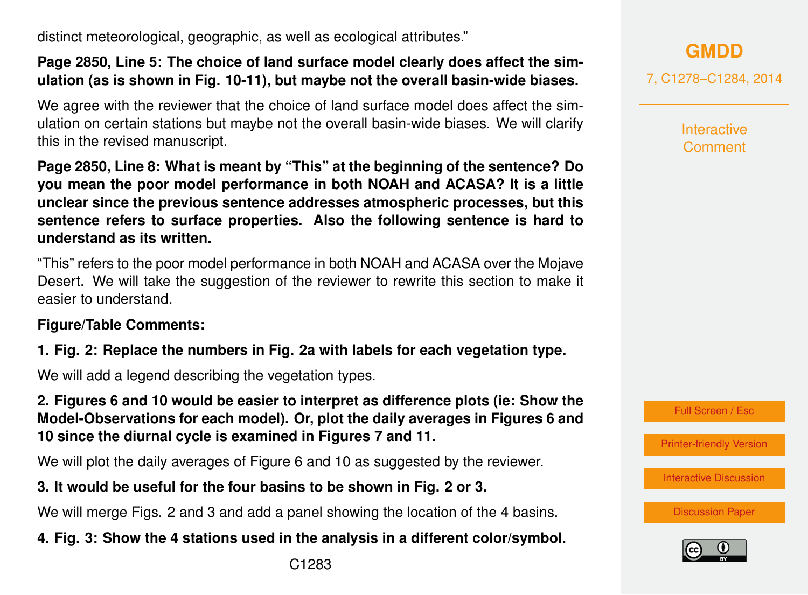distinct meteorological, geographic, as well as ecological attributes."

#### **Page 2850, Line 5: The choice of land surface model clearly does affect the simulation (as is shown in Fig. 10-11), but maybe not the overall basin-wide biases.**

We agree with the reviewer that the choice of land surface model does affect the simulation on certain stations but maybe not the overall basin-wide biases. We will clarify this in the revised manuscript.

**Page 2850, Line 8: What is meant by "This" at the beginning of the sentence? Do you mean the poor model performance in both NOAH and ACASA? It is a little unclear since the previous sentence addresses atmospheric processes, but this sentence refers to surface properties. Also the following sentence is hard to understand as its written.**

"This" refers to the poor model performance in both NOAH and ACASA over the Mojave Desert. We will take the suggestion of the reviewer to rewrite this section to make it easier to understand.

#### **Figure/Table Comments:**

# **1. Fig. 2: Replace the numbers in Fig. 2a with labels for each vegetation type.**

We will add a legend describing the vegetation types.

**2. Figures 6 and 10 would be easier to interpret as difference plots (ie: Show the Model-Observations for each model). Or, plot the daily averages in Figures 6 and 10 since the diurnal cycle is examined in Figures 7 and 11.**

We will plot the daily averages of Figure 6 and 10 as suggested by the reviewer.

# **3. It would be useful for the four basins to be shown in Fig. 2 or 3.**

We will merge Figs. 2 and 3 and add a panel showing the location of the 4 basins.

# **4. Fig. 3: Show the 4 stations used in the analysis in a different color/symbol.**

**[GMDD](http://www.geosci-model-dev-discuss.net)**

7, C1278–C1284, 2014

**Interactive Comment** 

Full Screen / Esc

[Printer-friendly Version](http://www.geosci-model-dev-discuss.net/7/C1278/2014/gmdd-7-C1278-2014-print.pdf)

[Interactive Discussion](http://www.geosci-model-dev-discuss.net/7/2829/2014/gmdd-7-2829-2014-discussion.html)